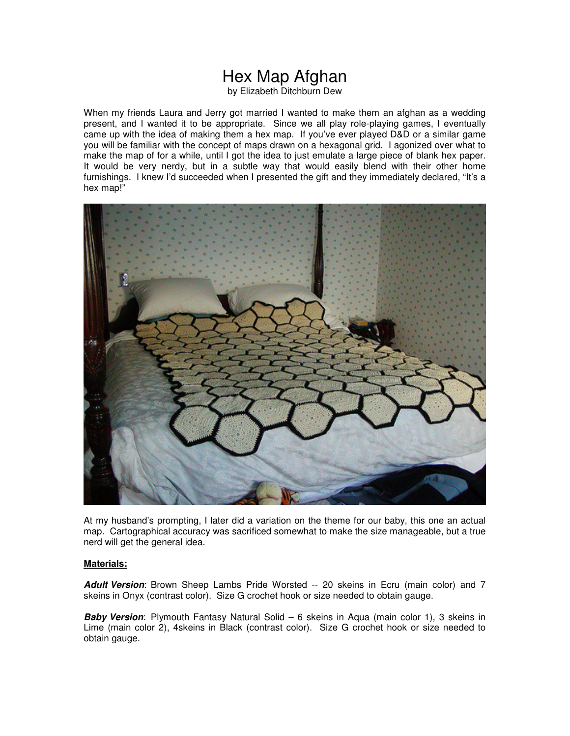# Hex Map Afghan

by Elizabeth Ditchburn Dew

When my friends Laura and Jerry got married I wanted to make them an afghan as a wedding present, and I wanted it to be appropriate. Since we all play role-playing games, I eventually came up with the idea of making them a hex map. If you've ever played D&D or a similar game you will be familiar with the concept of maps drawn on a hexagonal grid. I agonized over what to make the map of for a while, until I got the idea to just emulate a large piece of blank hex paper. It would be very nerdy, but in a subtle way that would easily blend with their other home furnishings. I knew I'd succeeded when I presented the gift and they immediately declared, "It's a hex map!"



At my husband's prompting, I later did a variation on the theme for our baby, this one an actual map. Cartographical accuracy was sacrificed somewhat to make the size manageable, but a true nerd will get the general idea.

#### **Materials:**

**Adult Version**: Brown Sheep Lambs Pride Worsted -- 20 skeins in Ecru (main color) and 7 skeins in Onyx (contrast color). Size G crochet hook or size needed to obtain gauge.

**Baby Version**: Plymouth Fantasy Natural Solid – 6 skeins in Aqua (main color 1), 3 skeins in Lime (main color 2), 4skeins in Black (contrast color). Size G crochet hook or size needed to obtain gauge.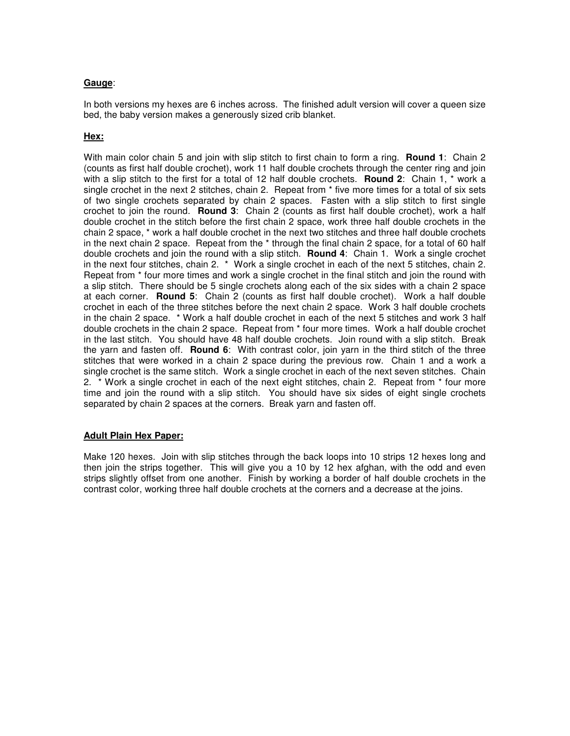#### **Gauge**:

In both versions my hexes are 6 inches across. The finished adult version will cover a queen size bed, the baby version makes a generously sized crib blanket.

## **Hex:**

With main color chain 5 and join with slip stitch to first chain to form a ring. **Round 1**: Chain 2 (counts as first half double crochet), work 11 half double crochets through the center ring and join with a slip stitch to the first for a total of 12 half double crochets. **Round 2**: Chain 1, \* work a single crochet in the next 2 stitches, chain 2. Repeat from \* five more times for a total of six sets of two single crochets separated by chain 2 spaces. Fasten with a slip stitch to first single crochet to join the round. **Round 3**: Chain 2 (counts as first half double crochet), work a half double crochet in the stitch before the first chain 2 space, work three half double crochets in the chain 2 space, \* work a half double crochet in the next two stitches and three half double crochets in the next chain 2 space. Repeat from the \* through the final chain 2 space, for a total of 60 half double crochets and join the round with a slip stitch. **Round 4**: Chain 1. Work a single crochet in the next four stitches, chain 2. \* Work a single crochet in each of the next 5 stitches, chain 2. Repeat from \* four more times and work a single crochet in the final stitch and join the round with a slip stitch. There should be 5 single crochets along each of the six sides with a chain 2 space at each corner. **Round 5**: Chain 2 (counts as first half double crochet). Work a half double crochet in each of the three stitches before the next chain 2 space. Work 3 half double crochets in the chain 2 space. \* Work a half double crochet in each of the next 5 stitches and work 3 half double crochets in the chain 2 space. Repeat from \* four more times. Work a half double crochet in the last stitch. You should have 48 half double crochets. Join round with a slip stitch. Break the yarn and fasten off. **Round 6**: With contrast color, join yarn in the third stitch of the three stitches that were worked in a chain 2 space during the previous row. Chain 1 and a work a single crochet is the same stitch. Work a single crochet in each of the next seven stitches. Chain 2. \* Work a single crochet in each of the next eight stitches, chain 2. Repeat from \* four more time and join the round with a slip stitch. You should have six sides of eight single crochets separated by chain 2 spaces at the corners. Break yarn and fasten off.

#### **Adult Plain Hex Paper:**

Make 120 hexes. Join with slip stitches through the back loops into 10 strips 12 hexes long and then join the strips together. This will give you a 10 by 12 hex afghan, with the odd and even strips slightly offset from one another. Finish by working a border of half double crochets in the contrast color, working three half double crochets at the corners and a decrease at the joins.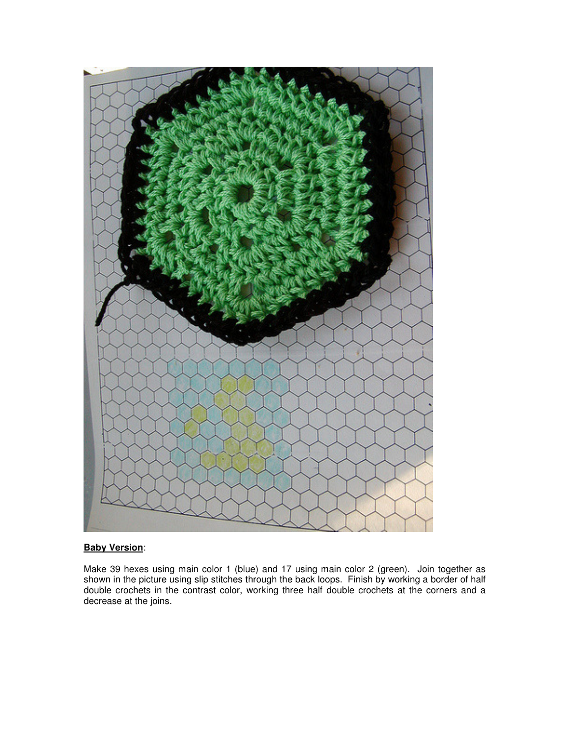

## **Baby Version**:

Make 39 hexes using main color 1 (blue) and 17 using main color 2 (green). Join together as shown in the picture using slip stitches through the back loops. Finish by working a border of half double crochets in the contrast color, working three half double crochets at the corners and a decrease at the joins.